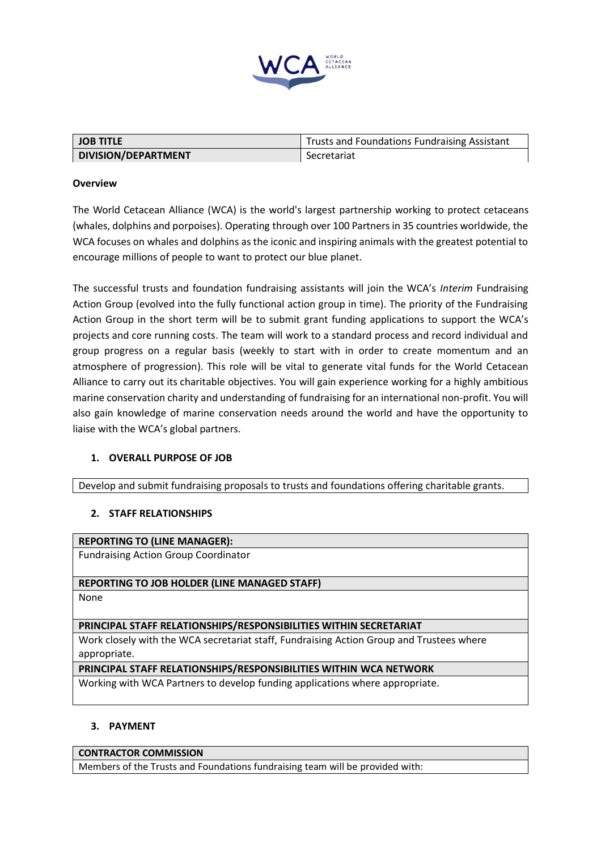

| <b>JOB TITLE</b>    | <b>Trusts and Foundations Fundraising Assistant</b> |
|---------------------|-----------------------------------------------------|
| DIVISION/DEPARTMENT | Secretariat                                         |

### **Overview**

The World Cetacean Alliance (WCA) is the world's largest partnership working to protect cetaceans (whales, dolphins and porpoises). Operating through over 100 Partners in 35 countries worldwide, the WCA focuses on whales and dolphins as the iconic and inspiring animals with the greatest potential to encourage millions of people to want to protect our blue planet.

The successful trusts and foundation fundraising assistants will join the WCA's *Interim* Fundraising Action Group (evolved into the fully functional action group in time). The priority of the Fundraising Action Group in the short term will be to submit grant funding applications to support the WCA's projects and core running costs. The team will work to a standard process and record individual and group progress on a regular basis (weekly to start with in order to create momentum and an atmosphere of progression). This role will be vital to generate vital funds for the World Cetacean Alliance to carry out its charitable objectives. You will gain experience working for a highly ambitious marine conservation charity and understanding of fundraising for an international non-profit. You will also gain knowledge of marine conservation needs around the world and have the opportunity to liaise with the WCA's global partners.

# **1. OVERALL PURPOSE OF JOB**

Develop and submit fundraising proposals to trusts and foundations offering charitable grants.

# **2. STAFF RELATIONSHIPS**

#### **REPORTING TO (LINE MANAGER):**

Fundraising Action Group Coordinator

# **REPORTING TO JOB HOLDER (LINE MANAGED STAFF)**

None

#### **PRINCIPAL STAFF RELATIONSHIPS/RESPONSIBILITIES WITHIN SECRETARIAT**

Work closely with the WCA secretariat staff, Fundraising Action Group and Trustees where appropriate.

#### **PRINCIPAL STAFF RELATIONSHIPS/RESPONSIBILITIES WITHIN WCA NETWORK**

Working with WCA Partners to develop funding applications where appropriate.

#### **3. PAYMENT**

#### **CONTRACTOR COMMISSION**

Members of the Trusts and Foundations fundraising team will be provided with: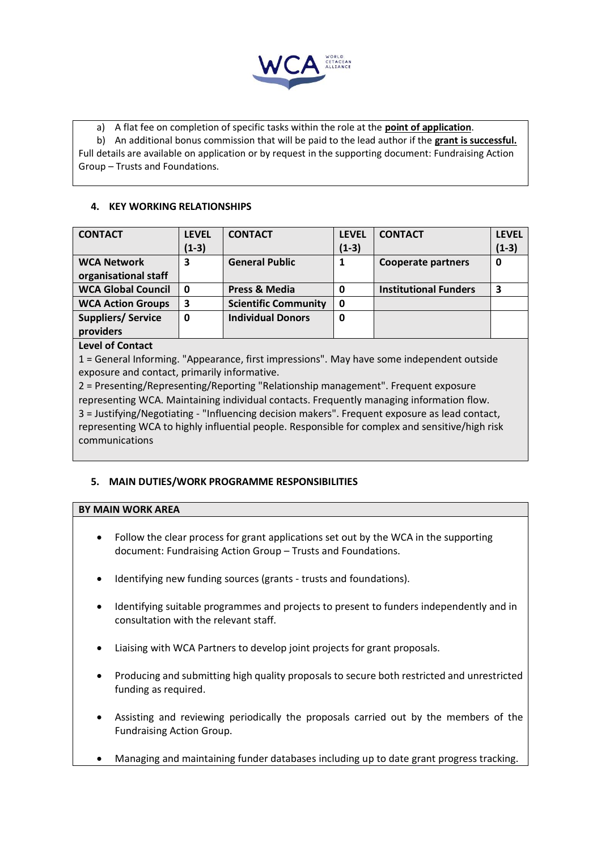

a) A flat fee on completion of specific tasks within the role at the **point of application**. b) An additional bonus commission that will be paid to the lead author if the **grant is successful.** Full details are available on application or by request in the supporting document: Fundraising Action Group – Trusts and Foundations.

## **4. KEY WORKING RELATIONSHIPS**

| <b>CONTACT</b>            | <b>LEVEL</b> | <b>CONTACT</b>              | <b>LEVEL</b> | <b>CONTACT</b>               | <b>LEVEL</b> |
|---------------------------|--------------|-----------------------------|--------------|------------------------------|--------------|
|                           | $(1-3)$      |                             | $(1-3)$      |                              | $(1-3)$      |
| <b>WCA Network</b>        | 3            | <b>General Public</b>       |              | <b>Cooperate partners</b>    | 0            |
| organisational staff      |              |                             |              |                              |              |
| <b>WCA Global Council</b> | 0            | <b>Press &amp; Media</b>    | 0            | <b>Institutional Funders</b> | 3            |
| <b>WCA Action Groups</b>  | 3            | <b>Scientific Community</b> | 0            |                              |              |
| <b>Suppliers/Service</b>  | 0            | <b>Individual Donors</b>    | 0            |                              |              |
| providers                 |              |                             |              |                              |              |
|                           |              |                             |              |                              |              |

## **Level of Contact**

1 = General Informing. "Appearance, first impressions". May have some independent outside exposure and contact, primarily informative.

2 = Presenting/Representing/Reporting "Relationship management". Frequent exposure representing WCA. Maintaining individual contacts. Frequently managing information flow. 3 = Justifying/Negotiating - "Influencing decision makers". Frequent exposure as lead contact, representing WCA to highly influential people. Responsible for complex and sensitive/high risk communications

# **5. MAIN DUTIES/WORK PROGRAMME RESPONSIBILITIES**

#### **BY MAIN WORK AREA**

- Follow the clear process for grant applications set out by the WCA in the supporting document: Fundraising Action Group – Trusts and Foundations.
- Identifying new funding sources (grants trusts and foundations).
- Identifying suitable programmes and projects to present to funders independently and in consultation with the relevant staff.
- Liaising with WCA Partners to develop joint projects for grant proposals.
- Producing and submitting high quality proposals to secure both restricted and unrestricted funding as required.
- Assisting and reviewing periodically the proposals carried out by the members of the Fundraising Action Group.
- Managing and maintaining funder databases including up to date grant progress tracking.